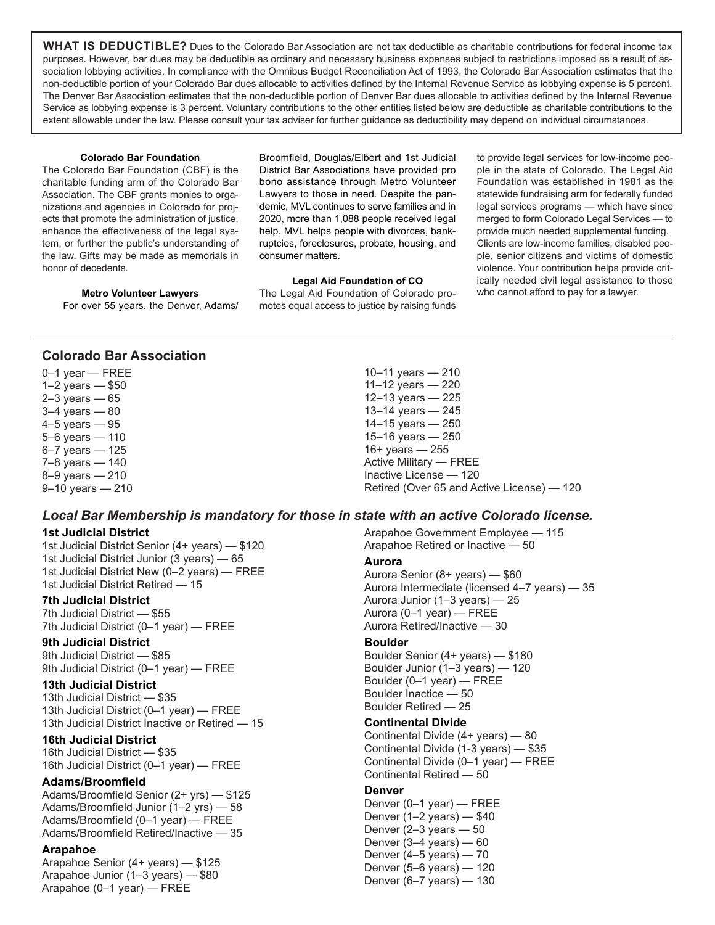**WHAT IS DEDUCTIBLE?** Dues to the Colorado Bar Association are not tax deductible as charitable contributions for federal income tax purposes. However, bar dues may be deductible as ordinary and necessary business expenses subject to restrictions imposed as a result of association lobbying activities. In compliance with the Omnibus Budget Reconciliation Act of 1993, the Colorado Bar Association estimates that the non-deductible portion of your Colorado Bar dues allocable to activities defined by the Internal Revenue Service as lobbying expense is 5 percent. The Denver Bar Association estimates that the non-deductible portion of Denver Bar dues allocable to activities defined by the Internal Revenue Service as lobbying expense is 3 percent. Voluntary contributions to the other entities listed below are deductible as charitable contributions to the extent allowable under the law. Please consult your tax adviser for further guidance as deductibility may depend on individual circumstances.

#### **Colorado Bar Foundation**

The Colorado Bar Foundation (CBF) is the charitable funding arm of the Colorado Bar Association. The CBF grants monies to organizations and agencies in Colorado for projects that promote the administration of justice, enhance the effectiveness of the legal system, or further the public's understanding of the law. Gifts may be made as memorials in honor of decedents.

Broomfield, Douglas/Elbert and 1st Judicial District Bar Associations have provided pro bono assistance through Metro Volunteer Lawyers to those in need. Despite the pandemic, MVL continues to serve families and in 2020, more than 1,088 people received legal help. MVL helps people with divorces, bankruptcies, foreclosures, probate, housing, and consumer matters.

#### **Legal Aid Foundation of CO**

The Legal Aid Foundation of Colorado promotes equal access to justice by raising funds to provide legal services for low-income people in the state of Colorado. The Legal Aid Foundation was established in 1981 as the statewide fundraising arm for federally funded legal services programs — which have since merged to form Colorado Legal Services — to provide much needed supplemental funding. Clients are low-income families, disabled people, senior citizens and victims of domestic violence. Your contribution helps provide critically needed civil legal assistance to those who cannot afford to pay for a lawyer.

#### **Metro Volunteer Lawyers** For over 55 years, the Denver, Adams/

**Colorado Bar Association**

0–1 year — FREE 1–2 years — \$50 2–3 years — 65 3–4 years — 80 4–5 years — 95 5–6 years — 110 6–7 years — 125 7–8 years — 140 8–9 years — 210 9–10 years — 210

# *Local Bar Membership is mandatory for those in state with an active Colorado license.*

## **1st Judicial District**

1st Judicial District Senior (4+ years) — \$120 1st Judicial District Junior (3 years) — 65 1st Judicial District New (0–2 years) — FREE 1st Judicial District Retired — 15

#### **7th Judicial District**

7th Judicial District — \$55 7th Judicial District (0–1 year) — FREE

# **9th Judicial District**

9th Judicial District — \$85 9th Judicial District (0-1 year) - FREE

## **13th Judicial District**

13th Judicial District — \$35 13th Judicial District (0–1 year) — FREE 13th Judicial District Inactive or Retired — 15

## **16th Judicial District**

16th Judicial District — \$35 16th Judicial District (0–1 year) — FREE

# **Adams/Broomfield**

Adams/Broomfield Senior (2+ yrs) — \$125 Adams/Broomfield Junior (1–2 yrs) — 58 Adams/Broomfield (0–1 year) — FREE Adams/Broomfield Retired/Inactive — 35

# **Arapahoe**

Arapahoe Senior (4+ years) — \$125 Arapahoe Junior (1–3 years) — \$80 Arapahoe (0–1 year) — FREE

10–11 years — 210 11–12 years — 220 12–13 years — 225 13–14 years — 245 14–15 years — 250 15–16 years — 250 16+ years — 255 Active Military — FREE Inactive License — 120 Retired (Over 65 and Active License) — 120

Arapahoe Government Employee — 115 Arapahoe Retired or Inactive — 50

#### **Aurora**

Aurora Senior (8+ years) — \$60 Aurora Intermediate (licensed 4–7 years) — 35 Aurora Junior (1–3 years) — 25 Aurora (0–1 year) — FREE Aurora Retired/Inactive — 30

#### **Boulder**

Boulder Senior (4+ years) — \$180 Boulder Junior (1–3 years) — 120 Boulder (0–1 year) — FREE Boulder Inactice — 50 Boulder Retired — 25

#### **Continental Divide**

Continental Divide (4+ years) — 80 Continental Divide (1-3 years) — \$35 Continental Divide (0–1 year) — FREE Continental Retired — 50

## **Denver**

Denver (0–1 year) — FREE Denver (1–2 years) — \$40 Denver (2–3 years — 50 Denver  $(3-4 \text{ years}) - 60$ Denver  $(4-5$  years)  $-70$ Denver (5–6 years) — 120 Denver (6–7 years) — 130